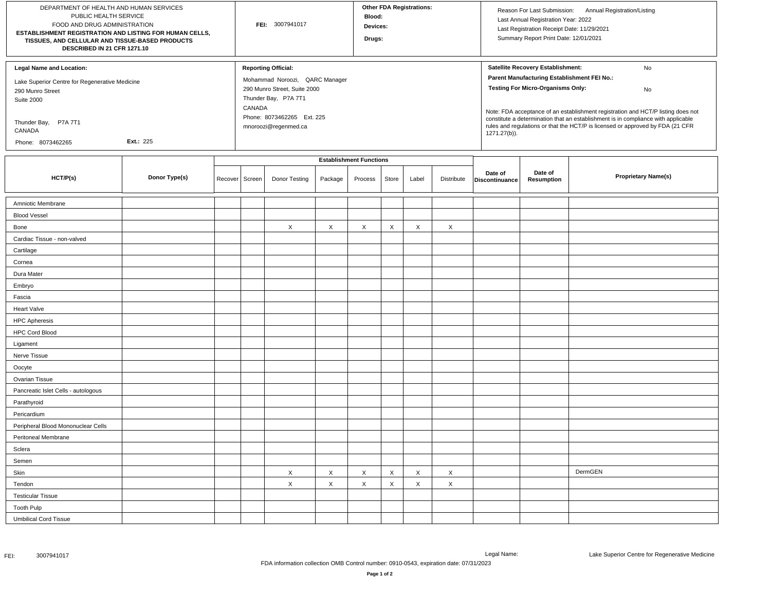| DEPARTMENT OF HEALTH AND HUMAN SERVICES<br>PUBLIC HEALTH SERVICE<br>FOOD AND DRUG ADMINISTRATION<br>ESTABLISHMENT REGISTRATION AND LISTING FOR HUMAN CELLS,<br>TISSUES, AND CELLULAR AND TISSUE-BASED PRODUCTS<br>DESCRIBED IN 21 CFR 1271.10 |               |         | FEI: 3007941017                                              |               |          |          | <b>Other FDA Registrations:</b><br>Blood:<br>Devices:<br>Drugs: |       |            |                                                                                                                                                                                                                                                                         | Reason For Last Submission: Annual Registration/Listing<br>Last Annual Registration Year: 2022<br>Last Registration Receipt Date: 11/29/2021<br>Summary Report Print Date: 12/01/2021 |                            |  |
|-----------------------------------------------------------------------------------------------------------------------------------------------------------------------------------------------------------------------------------------------|---------------|---------|--------------------------------------------------------------|---------------|----------|----------|-----------------------------------------------------------------|-------|------------|-------------------------------------------------------------------------------------------------------------------------------------------------------------------------------------------------------------------------------------------------------------------------|---------------------------------------------------------------------------------------------------------------------------------------------------------------------------------------|----------------------------|--|
| <b>Legal Name and Location:</b><br>Lake Superior Centre for Regenerative Medicine                                                                                                                                                             |               |         | <b>Reporting Official:</b><br>Mohammad Noroozi, QARC Manager |               |          |          |                                                                 |       |            | Satellite Recovery Establishment:<br>No<br>Parent Manufacturing Establishment FEI No.:                                                                                                                                                                                  |                                                                                                                                                                                       |                            |  |
| 290 Munro Street                                                                                                                                                                                                                              |               |         | 290 Munro Street, Suite 2000                                 |               |          |          |                                                                 |       |            |                                                                                                                                                                                                                                                                         | <b>Testing For Micro-Organisms Only:</b>                                                                                                                                              | No                         |  |
| <b>Suite 2000</b>                                                                                                                                                                                                                             |               |         | Thunder Bay, P7A 7T1<br>CANADA                               |               |          |          |                                                                 |       |            |                                                                                                                                                                                                                                                                         |                                                                                                                                                                                       |                            |  |
| Thunder Bay, P7A 7T1<br>CANADA                                                                                                                                                                                                                |               |         | Phone: 8073462265 Ext. 225<br>mnoroozi@regenmed.ca           |               |          |          |                                                                 |       |            | Note: FDA acceptance of an establishment registration and HCT/P listing does not<br>constitute a determination that an establishment is in compliance with applicable<br>rules and regulations or that the HCT/P is licensed or approved by FDA (21 CFR<br>1271.27(b)). |                                                                                                                                                                                       |                            |  |
| <b>Ext.: 225</b><br>Phone: 8073462265                                                                                                                                                                                                         |               |         |                                                              |               |          |          |                                                                 |       |            |                                                                                                                                                                                                                                                                         |                                                                                                                                                                                       |                            |  |
|                                                                                                                                                                                                                                               |               |         | <b>Establishment Functions</b>                               |               |          |          |                                                                 |       |            |                                                                                                                                                                                                                                                                         |                                                                                                                                                                                       |                            |  |
| HCT/P(s)                                                                                                                                                                                                                                      | Donor Type(s) | Recover | Screen                                                       | Donor Testing | Package  | Process  | Store                                                           | Label | Distribute | Date of<br>Discontinuance                                                                                                                                                                                                                                               | Date of<br><b>Resumption</b>                                                                                                                                                          | <b>Proprietary Name(s)</b> |  |
| Amniotic Membrane                                                                                                                                                                                                                             |               |         |                                                              |               |          |          |                                                                 |       |            |                                                                                                                                                                                                                                                                         |                                                                                                                                                                                       |                            |  |
| <b>Blood Vessel</b>                                                                                                                                                                                                                           |               |         |                                                              |               |          |          |                                                                 |       |            |                                                                                                                                                                                                                                                                         |                                                                                                                                                                                       |                            |  |
| Bone                                                                                                                                                                                                                                          |               |         |                                                              | X             | X        | X        | $\mathsf X$                                                     | X     | X          |                                                                                                                                                                                                                                                                         |                                                                                                                                                                                       |                            |  |
| Cardiac Tissue - non-valved                                                                                                                                                                                                                   |               |         |                                                              |               |          |          |                                                                 |       |            |                                                                                                                                                                                                                                                                         |                                                                                                                                                                                       |                            |  |
| Cartilage                                                                                                                                                                                                                                     |               |         |                                                              |               |          |          |                                                                 |       |            |                                                                                                                                                                                                                                                                         |                                                                                                                                                                                       |                            |  |
| Cornea                                                                                                                                                                                                                                        |               |         |                                                              |               |          |          |                                                                 |       |            |                                                                                                                                                                                                                                                                         |                                                                                                                                                                                       |                            |  |
| Dura Mater                                                                                                                                                                                                                                    |               |         |                                                              |               |          |          |                                                                 |       |            |                                                                                                                                                                                                                                                                         |                                                                                                                                                                                       |                            |  |
| Embryo                                                                                                                                                                                                                                        |               |         |                                                              |               |          |          |                                                                 |       |            |                                                                                                                                                                                                                                                                         |                                                                                                                                                                                       |                            |  |
| Fascia                                                                                                                                                                                                                                        |               |         |                                                              |               |          |          |                                                                 |       |            |                                                                                                                                                                                                                                                                         |                                                                                                                                                                                       |                            |  |
| Heart Valve                                                                                                                                                                                                                                   |               |         |                                                              |               |          |          |                                                                 |       |            |                                                                                                                                                                                                                                                                         |                                                                                                                                                                                       |                            |  |
| <b>HPC Apheresis</b>                                                                                                                                                                                                                          |               |         |                                                              |               |          |          |                                                                 |       |            |                                                                                                                                                                                                                                                                         |                                                                                                                                                                                       |                            |  |
| <b>HPC Cord Blood</b>                                                                                                                                                                                                                         |               |         |                                                              |               |          |          |                                                                 |       |            |                                                                                                                                                                                                                                                                         |                                                                                                                                                                                       |                            |  |
| Ligament                                                                                                                                                                                                                                      |               |         |                                                              |               |          |          |                                                                 |       |            |                                                                                                                                                                                                                                                                         |                                                                                                                                                                                       |                            |  |
| Nerve Tissue                                                                                                                                                                                                                                  |               |         |                                                              |               |          |          |                                                                 |       |            |                                                                                                                                                                                                                                                                         |                                                                                                                                                                                       |                            |  |
| Oocyte                                                                                                                                                                                                                                        |               |         |                                                              |               |          |          |                                                                 |       |            |                                                                                                                                                                                                                                                                         |                                                                                                                                                                                       |                            |  |
| Ovarian Tissue                                                                                                                                                                                                                                |               |         |                                                              |               |          |          |                                                                 |       |            |                                                                                                                                                                                                                                                                         |                                                                                                                                                                                       |                            |  |
| Pancreatic Islet Cells - autologous                                                                                                                                                                                                           |               |         |                                                              |               |          |          |                                                                 |       |            |                                                                                                                                                                                                                                                                         |                                                                                                                                                                                       |                            |  |
| Parathyroid                                                                                                                                                                                                                                   |               |         |                                                              |               |          |          |                                                                 |       |            |                                                                                                                                                                                                                                                                         |                                                                                                                                                                                       |                            |  |
| Pericardium                                                                                                                                                                                                                                   |               |         |                                                              |               |          |          |                                                                 |       |            |                                                                                                                                                                                                                                                                         |                                                                                                                                                                                       |                            |  |
| Peripheral Blood Mononuclear Cells                                                                                                                                                                                                            |               |         |                                                              |               |          |          |                                                                 |       |            |                                                                                                                                                                                                                                                                         |                                                                                                                                                                                       |                            |  |
| Peritoneal Membrane                                                                                                                                                                                                                           |               |         |                                                              |               |          |          |                                                                 |       |            |                                                                                                                                                                                                                                                                         |                                                                                                                                                                                       |                            |  |
| Sclera                                                                                                                                                                                                                                        |               |         |                                                              |               |          |          |                                                                 |       |            |                                                                                                                                                                                                                                                                         |                                                                                                                                                                                       |                            |  |
| Semen                                                                                                                                                                                                                                         |               |         |                                                              |               |          |          |                                                                 |       |            |                                                                                                                                                                                                                                                                         |                                                                                                                                                                                       |                            |  |
| Skin                                                                                                                                                                                                                                          |               |         |                                                              | X             | $\times$ | $\times$ | $\times$                                                        | X     | X          |                                                                                                                                                                                                                                                                         |                                                                                                                                                                                       | DermGEN                    |  |
| Tendon                                                                                                                                                                                                                                        |               |         |                                                              | X             | Χ        | X        | X                                                               | X     | X          |                                                                                                                                                                                                                                                                         |                                                                                                                                                                                       |                            |  |
| <b>Testicular Tissue</b>                                                                                                                                                                                                                      |               |         |                                                              |               |          |          |                                                                 |       |            |                                                                                                                                                                                                                                                                         |                                                                                                                                                                                       |                            |  |
| <b>Tooth Pulp</b>                                                                                                                                                                                                                             |               |         |                                                              |               |          |          |                                                                 |       |            |                                                                                                                                                                                                                                                                         |                                                                                                                                                                                       |                            |  |
| <b>Umbilical Cord Tissue</b>                                                                                                                                                                                                                  |               |         |                                                              |               |          |          |                                                                 |       |            |                                                                                                                                                                                                                                                                         |                                                                                                                                                                                       |                            |  |